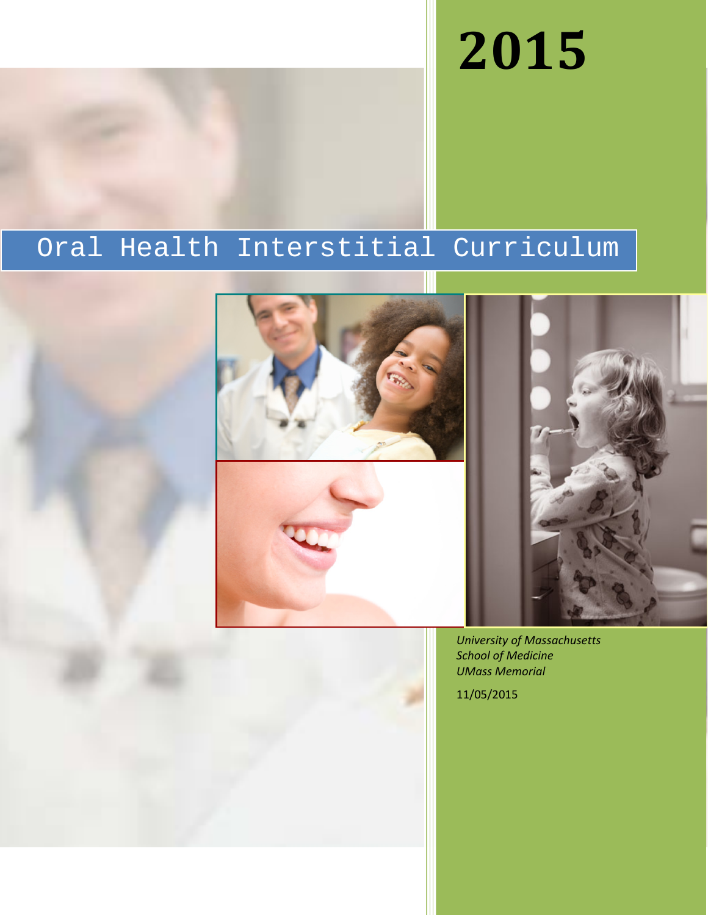# **2015**

## Oral Health Interstitial Curriculum







*University of Massachusetts School of Medicine UMass Memorial*

11/05/2015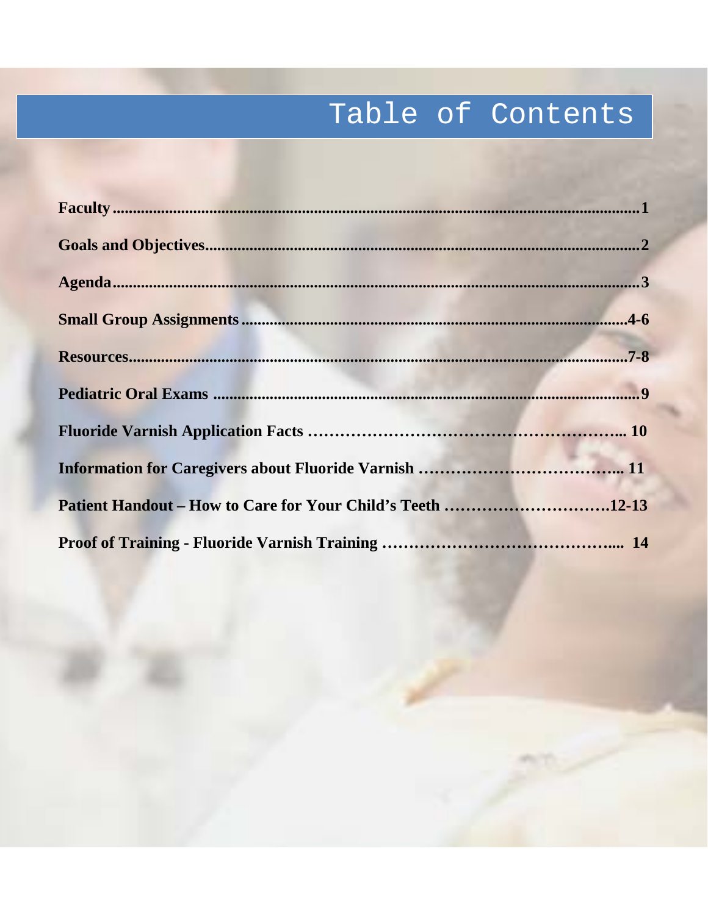## Table of Contents

| Patient Handout – How to Care for Your Child's Teeth 12-13 |  |
|------------------------------------------------------------|--|
|                                                            |  |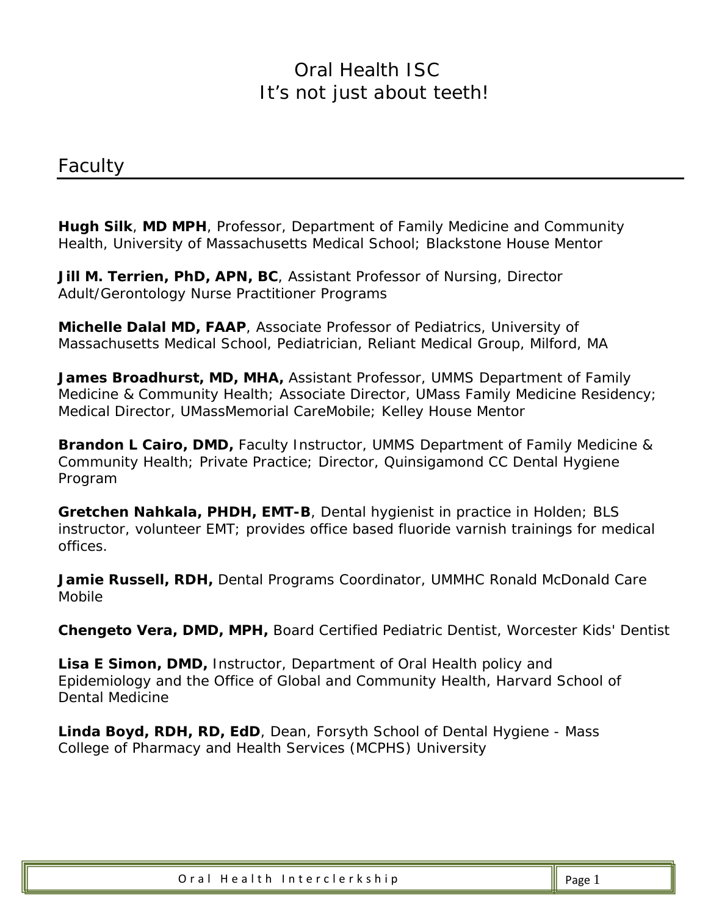*Faculty*

**Hugh Silk**, **MD MPH**, Professor, Department of Family Medicine and Community Health, University of Massachusetts Medical School; Blackstone House Mentor

**Jill M. Terrien, PhD, APN, BC**, Assistant Professor of Nursing, Director Adult/Gerontology Nurse Practitioner Programs

**Michelle Dalal MD, FAAP**, Associate Professor of Pediatrics, University of Massachusetts Medical School, Pediatrician, Reliant Medical Group, Milford, MA

**James Broadhurst, MD, MHA,** Assistant Professor, UMMS Department of Family Medicine & Community Health; Associate Director, UMass Family Medicine Residency; Medical Director, UMassMemorial CareMobile; Kelley House Mentor

**Brandon L Cairo, DMD,** Faculty Instructor, UMMS Department of Family Medicine & Community Health; Private Practice; Director, Quinsigamond CC Dental Hygiene Program

**Gretchen Nahkala, PHDH, EMT-B**, Dental hygienist in practice in Holden; BLS instructor, volunteer EMT; provides office based fluoride varnish trainings for medical offices.

**Jamie Russell, RDH,** Dental Programs Coordinator, UMMHC Ronald McDonald Care Mobile

**Chengeto Vera, DMD, MPH,** Board Certified Pediatric Dentist, Worcester Kids' Dentist

**Lisa E Simon, DMD,** Instructor, Department of Oral Health policy and Epidemiology and the Office of Global and Community Health, Harvard School of Dental Medicine

**Linda Boyd, RDH, RD, EdD**, Dean, Forsyth School of Dental Hygiene - Mass College of Pharmacy and Health Services (MCPHS) University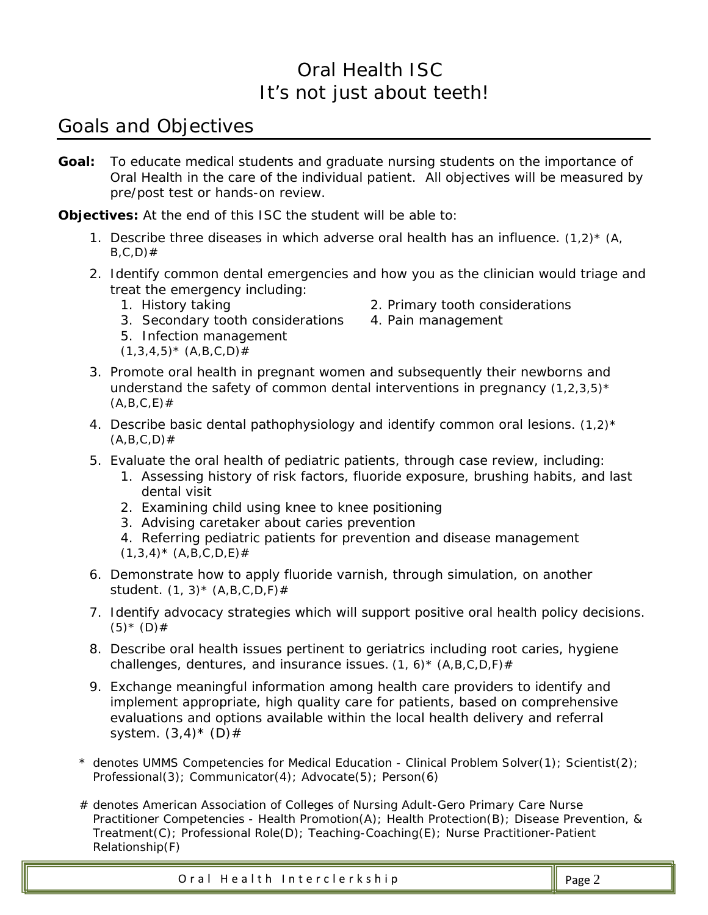## *Goals and Objectives*

**Goal:** To educate medical students and graduate nursing students on the importance of Oral Health in the care of the individual patient. All objectives will be measured by pre/post test or hands-on review.

**Objectives:** At the end of this ISC the student will be able to:

- 1. Describe three diseases in which adverse oral health has an influence. (1,2)\* *(A, B,C,D*)#
- 2. Identify common dental emergencies and how you as the clinician would triage and treat the emergency including:
	- 1. History taking 2. Primary tooth considerations
	- 3. Secondary tooth considerations 4. Pain management
	- 5. Infection management
	- (*1,3,4,5)\* (A,B,C,D)#*
- 
- 3. Promote oral health in pregnant women and subsequently their newborns and understand the safety of common dental interventions in pregnancy (*1,2,3,5)\* (A,B,C,E*)#
- 4. Describe basic dental pathophysiology and identify common oral lesions. (*1,2)\**  $(A, B, C, D)$ #
- 5. Evaluate the oral health of pediatric patients, through case review, including:
	- 1. Assessing history of risk factors, fluoride exposure, brushing habits, and last dental visit
	- 2. Examining child using knee to knee positioning
	- 3. Advising caretaker about caries prevention
	- 4. Referring pediatric patients for prevention and disease management
	- (*1,3,4)\* (A,B,C,D,E*)#
- 6. Demonstrate how to apply fluoride varnish, through simulation, on another student. (*1, 3)\* (A,B,C,D,F)#*
- 7. Identify advocacy strategies which will support positive oral health policy decisions.  $(5) * (D)$ #
- 8. Describe oral health issues pertinent to geriatrics including root caries, hygiene challenges, dentures, and insurance issues. (*1, 6)\* (A,B,C,D,F)#*
- 9. Exchange meaningful information among health care providers to identify and implement appropriate, high quality care for patients, based on comprehensive evaluations and options available within the local health delivery and referral system.  $(3,4)^*$  (D)#
- *\* denotes UMMS Competencies for Medical Education - Clinical Problem Solver(1); Scientist(2); Professional(3); Communicator(4); Advocate(5); Person(6)*
- *# denotes American Association of Colleges of Nursing Adult-Gero Primary Care Nurse Practitioner Competencies - Health Promotion(A); Health Protection(B); Disease Prevention, & Treatment(C); Professional Role(D); Teaching-Coaching(E); Nurse Practitioner-Patient Relationship(F)*

Oral Health Interclerkship  $\parallel$  Page 2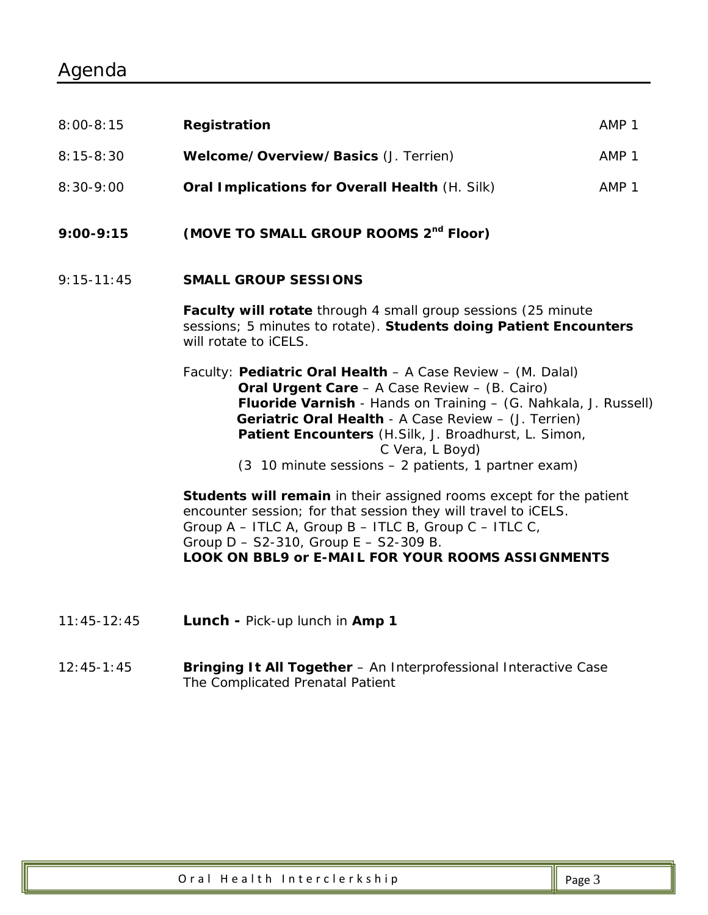| $9:00 - 9:15$ | (MOVE TO SMALL GROUP ROOMS 2 <sup>nd</sup> Floor)     |       |
|---------------|-------------------------------------------------------|-------|
| $8:30-9:00$   | <b>Oral Implications for Overall Health (H. Silk)</b> | AMP 1 |
| $8:15-8:30$   | Welcome/Overview/Basics (J. Terrien)                  | AMP 1 |
| $8:00 - 8:15$ | Registration                                          | AMP 1 |

9:15-11:45 **SMALL GROUP SESSIONS**

**Faculty will rotate** through 4 small group sessions (25 minute sessions; 5 minutes to rotate). **Students doing Patient Encounters** will rotate to iCELS.

Faculty: **Pediatric Oral Health** – A Case Review – (M. Dalal) **Oral Urgent Care** – A Case Review – (B. Cairo) **Fluoride Varnish** - Hands on Training – (G. Nahkala, J. Russell) **Geriatric Oral Health** - A Case Review – (J. Terrien) **Patient Encounters** (H.Silk, J. Broadhurst, L. Simon, C Vera, L Boyd)

(3 10 minute sessions – 2 patients, 1 partner exam)

**Students will remain** in their assigned rooms except for the patient encounter session; for that session they will travel to iCELS. Group A – ITLC A, Group B – ITLC B, Group C – ITLC C, Group D – S2-310, Group E – S2-309 B. **LOOK ON BBL9 or E-MAIL FOR YOUR ROOMS ASSIGNMENTS**

- 11:45-12:45 **Lunch -** Pick-up lunch in **Amp 1**
- 12:45-1:45 **Bringing It All Together** An Interprofessional Interactive Case The Complicated Prenatal Patient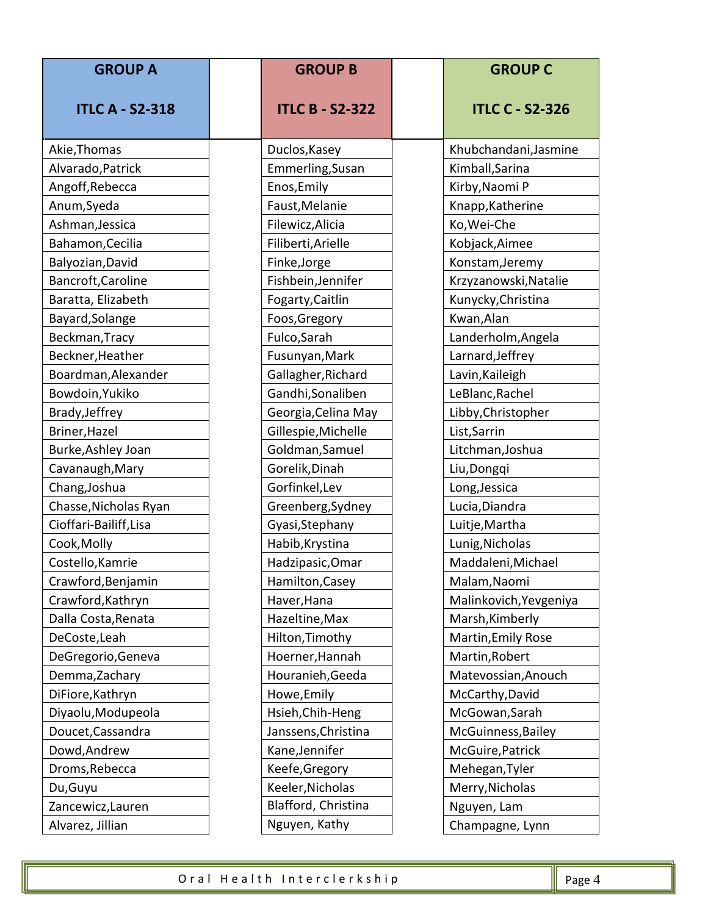| <b>GROUP A</b>         | <b>GROUP B</b><br><b>GROUP C</b>       |  |                        |
|------------------------|----------------------------------------|--|------------------------|
| <b>ITLC A - S2-318</b> | <b>ITLC B - S2-322</b>                 |  | <b>ITLC C - S2-326</b> |
| Akie, Thomas           | Duclos, Kasey                          |  | Khubchandani, Jasmine  |
| Alvarado, Patrick      | Emmerling, Susan                       |  | Kimball, Sarina        |
| Angoff, Rebecca        | Enos, Emily                            |  | Kirby, Naomi P         |
| Anum, Syeda            | Faust, Melanie                         |  | Knapp, Katherine       |
| Ashman, Jessica        | Filewicz, Alicia                       |  | Ko, Wei-Che            |
| Bahamon, Cecilia       | Filiberti, Arielle                     |  | Kobjack, Aimee         |
| Balyozian, David       | Finke, Jorge                           |  | Konstam, Jeremy        |
| Bancroft, Caroline     | Fishbein, Jennifer                     |  | Krzyzanowski, Natalie  |
| Baratta, Elizabeth     | Fogarty, Caitlin                       |  | Kunycky, Christina     |
| Bayard, Solange        | Foos, Gregory                          |  | Kwan, Alan             |
| Beckman, Tracy         | Fulco, Sarah                           |  | Landerholm, Angela     |
| Beckner, Heather       | Fusunyan, Mark                         |  | Larnard, Jeffrey       |
| Boardman, Alexander    | Gallagher, Richard                     |  | Lavin, Kaileigh        |
| Bowdoin, Yukiko        | Gandhi, Sonaliben                      |  | LeBlanc, Rachel        |
| Brady, Jeffrey         | Georgia, Celina May                    |  | Libby, Christopher     |
| Briner, Hazel          | Gillespie, Michelle                    |  | List, Sarrin           |
| Burke, Ashley Joan     | Goldman, Samuel                        |  | Litchman, Joshua       |
| Cavanaugh, Mary        | Gorelik, Dinah                         |  | Liu, Dongqi            |
| Chang, Joshua          | Gorfinkel, Lev                         |  | Long, Jessica          |
| Chasse, Nicholas Ryan  | Greenberg, Sydney                      |  | Lucia, Diandra         |
| Cioffari-Bailiff, Lisa | Gyasi, Stephany<br>Luitje, Martha      |  |                        |
| Cook, Molly            | Habib, Krystina<br>Lunig, Nicholas     |  |                        |
| Costello, Kamrie       | Hadzipasic, Omar<br>Maddaleni, Michael |  |                        |
| Crawford, Benjamin     | Hamilton, Casey                        |  | Malam, Naomi           |
| Crawford, Kathryn      | Haver, Hana                            |  | Malinkovich, Yevgeniya |
| Dalla Costa, Renata    | Hazeltine, Max                         |  | Marsh, Kimberly        |
| DeCoste, Leah          | Hilton, Timothy                        |  | Martin, Emily Rose     |
| DeGregorio, Geneva     | Hoerner, Hannah                        |  | Martin, Robert         |
| Demma, Zachary         | Houranieh, Geeda                       |  | Matevossian, Anouch    |
| DiFiore, Kathryn       | Howe, Emily                            |  | McCarthy, David        |
| Diyaolu, Modupeola     | Hsieh, Chih-Heng                       |  | McGowan, Sarah         |
| Doucet, Cassandra      | Janssens, Christina                    |  | McGuinness, Bailey     |
| Dowd, Andrew           | Kane, Jennifer<br>McGuire, Patrick     |  |                        |
| Droms, Rebecca         | Keefe, Gregory<br>Mehegan, Tyler       |  |                        |
| Du, Guyu               | Keeler, Nicholas                       |  | Merry, Nicholas        |
| Zancewicz, Lauren      | Blafford, Christina                    |  | Nguyen, Lam            |
| Alvarez, Jillian       | Nguyen, Kathy                          |  | Champagne, Lynn        |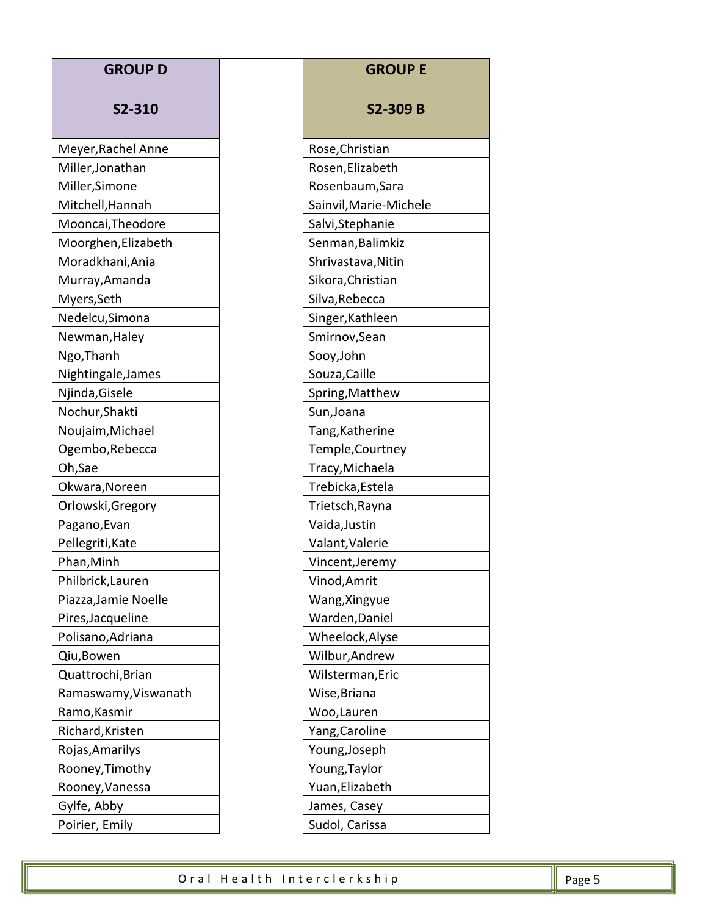| <b>GROUP D</b>       | <b>GROUP E</b>         |
|----------------------|------------------------|
| S2-310               | <b>S2-309 B</b>        |
| Meyer, Rachel Anne   | Rose, Christian        |
| Miller, Jonathan     | Rosen, Elizabeth       |
| Miller, Simone       | Rosenbaum, Sara        |
| Mitchell, Hannah     | Sainvil, Marie-Michele |
| Mooncai, Theodore    | Salvi, Stephanie       |
| Moorghen, Elizabeth  | Senman, Balimkiz       |
| Moradkhani, Ania     | Shrivastava, Nitin     |
| Murray, Amanda       | Sikora, Christian      |
| Myers, Seth          | Silva, Rebecca         |
| Nedelcu, Simona      | Singer, Kathleen       |
| Newman, Haley        | Smirnov, Sean          |
| Ngo, Thanh           | Sooy, John             |
| Nightingale, James   | Souza, Caille          |
| Njinda, Gisele       | Spring, Matthew        |
| Nochur, Shakti       | Sun, Joana             |
| Noujaim, Michael     | Tang, Katherine        |
| Ogembo, Rebecca      | Temple, Courtney       |
| Oh,Sae               | Tracy, Michaela        |
| Okwara, Noreen       | Trebicka, Estela       |
| Orlowski, Gregory    | Trietsch, Rayna        |
| Pagano, Evan         | Vaida, Justin          |
| Pellegriti, Kate     | Valant, Valerie        |
| Phan, Minh           | Vincent, Jeremy        |
| Philbrick, Lauren    | Vinod, Amrit           |
| Piazza, Jamie Noelle | Wang, Xingyue          |
| Pires, Jacqueline    | Warden, Daniel         |
| Polisano, Adriana    | Wheelock, Alyse        |
| Qiu, Bowen           | Wilbur, Andrew         |
| Quattrochi, Brian    | Wilsterman, Eric       |
| Ramaswamy, Viswanath | Wise, Briana           |
| Ramo, Kasmir         | Woo, Lauren            |
| Richard, Kristen     | Yang, Caroline         |
| Rojas, Amarilys      | Young, Joseph          |
| Rooney, Timothy      | Young, Taylor          |
| Rooney, Vanessa      | Yuan, Elizabeth        |
| Gylfe, Abby          | James, Casey           |
| Poirier, Emily       | Sudol, Carissa         |

| S2-309 B              |
|-----------------------|
| ose,Christian         |
| osen,Elizabeth        |
| osenbaum, Sara        |
| ainvil, Marie-Michele |
| alvi, Stephanie       |
| enman, Balimkiz       |
| hrivastava, Nitin     |
| kora, Christian       |
| lva, Rebecca          |
| nger, Kathleen        |
| mirnov,Sean           |
| ooy,John              |
| ouza,Caille           |
| pring,Matthew         |
| un, Joana             |
| ang,Katherine         |
| emple,Courtney        |
| racy, Michaela        |
| rebicka, Estela       |
| rietsch, Rayna        |
| aida,Justin           |
| alant, Valerie        |
| incent,Jeremy         |
| inod,Amrit            |
| ang, Xingyue          |
| arden, Daniel         |
| /heelock,Alyse        |
| /ilbur, Andrew        |
| /ilsterman, Eric      |
| /ise,Briana           |
| /oo,Lauren            |
| ang, Caroline         |
| oung,Joseph           |
| oung,Taylor           |
| uan, Elizabeth        |
| ames. Casev           |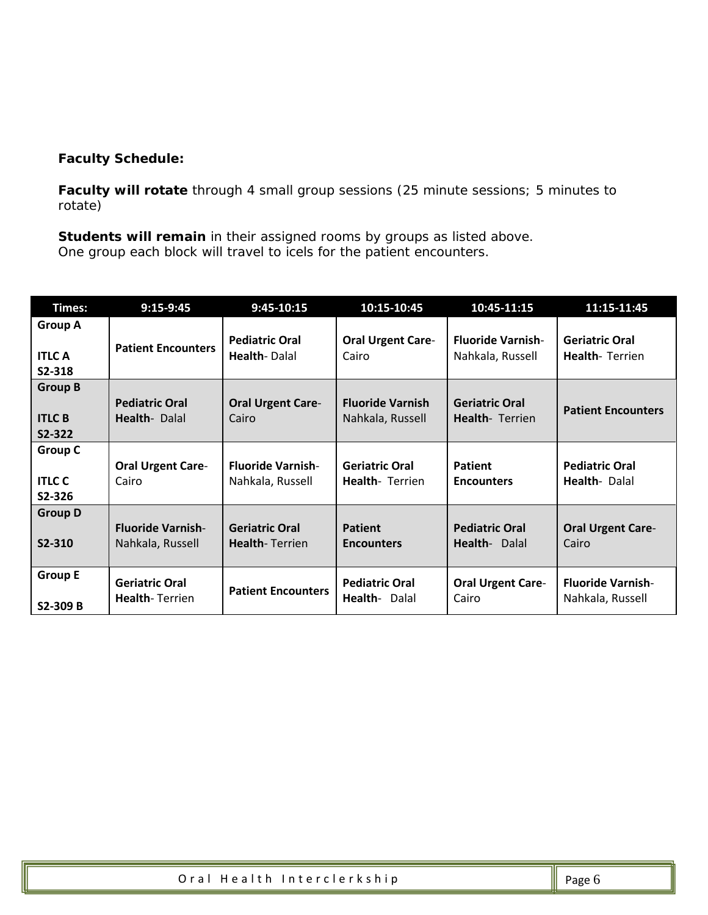#### **Faculty Schedule:**

**Faculty will rotate** through 4 small group sessions (25 minute sessions; 5 minutes to rotate)

**Students will remain** in their assigned rooms by groups as listed above. One group each block will travel to icels for the patient encounters.

| Times:                                    | $9:15-9:45$                                    | $9:45-10:15$                                   | 10:15-10:45                                     | 10:45-11:15                                     | 11:15-11:45                                    |
|-------------------------------------------|------------------------------------------------|------------------------------------------------|-------------------------------------------------|-------------------------------------------------|------------------------------------------------|
| <b>Group A</b><br><b>ITLC A</b><br>S2-318 | <b>Patient Encounters</b>                      | <b>Pediatric Oral</b><br><b>Health-Dalal</b>   | <b>Oral Urgent Care-</b><br>Cairo               | <b>Fluoride Varnish-</b><br>Nahkala, Russell    | <b>Geriatric Oral</b><br><b>Health-Terrien</b> |
| <b>Group B</b><br><b>ITLC B</b><br>S2-322 | <b>Pediatric Oral</b><br>Health-Dalal          | <b>Oral Urgent Care-</b><br>Cairo              | <b>Fluoride Varnish</b><br>Nahkala, Russell     | <b>Geriatric Oral</b><br><b>Health-</b> Terrien | <b>Patient Encounters</b>                      |
| <b>Group C</b><br><b>ITLC C</b><br>S2-326 | <b>Oral Urgent Care-</b><br>Cairo              | <b>Fluoride Varnish-</b><br>Nahkala, Russell   | <b>Geriatric Oral</b><br><b>Health-</b> Terrien | Patient<br><b>Encounters</b>                    | <b>Pediatric Oral</b><br><b>Health-Dalal</b>   |
| <b>Group D</b><br>S2-310                  | <b>Fluoride Varnish-</b><br>Nahkala, Russell   | <b>Geriatric Oral</b><br><b>Health-Terrien</b> | <b>Patient</b><br><b>Encounters</b>             | <b>Pediatric Oral</b><br>Health- Dalal          | <b>Oral Urgent Care-</b><br>Cairo              |
| <b>Group E</b><br>S2-309 B                | <b>Geriatric Oral</b><br><b>Health-Terrien</b> | <b>Patient Encounters</b>                      | <b>Pediatric Oral</b><br>Health-Dalal           | <b>Oral Urgent Care-</b><br>Cairo               | <b>Fluoride Varnish-</b><br>Nahkala, Russell   |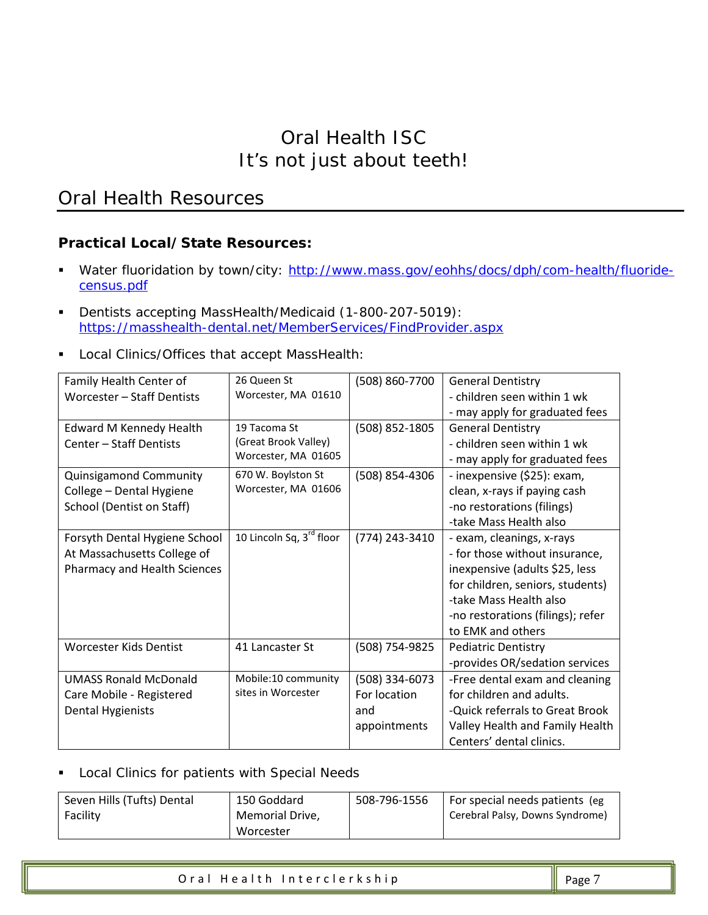## *Oral Health Resources*

#### **Practical Local/State Resources:**

- Water fluoridation by town/city: [http://www.mass.gov/eohhs/docs/dph/com-health/fluoride](http://www.mass.gov/eohhs/docs/dph/com-health/fluoride-census.pdf)[census.pdf](http://www.mass.gov/eohhs/docs/dph/com-health/fluoride-census.pdf)
- Dentists accepting MassHealth/Medicaid (1-800-207-5019): <https://masshealth-dental.net/MemberServices/FindProvider.aspx>
- **Local Clinics/Offices that accept MassHealth:**

| Family Health Center of        | 26 Queen St              | (508) 860-7700 | <b>General Dentistry</b>          |
|--------------------------------|--------------------------|----------------|-----------------------------------|
| Worcester - Staff Dentists     | Worcester, MA 01610      |                | - children seen within 1 wk       |
|                                |                          |                | - may apply for graduated fees    |
| <b>Edward M Kennedy Health</b> | 19 Tacoma St             | (508) 852-1805 | <b>General Dentistry</b>          |
| Center - Staff Dentists        | (Great Brook Valley)     |                | - children seen within 1 wk       |
|                                | Worcester, MA 01605      |                | - may apply for graduated fees    |
| Quinsigamond Community         | 670 W. Boylston St       | (508) 854-4306 | - inexpensive (\$25): exam,       |
| College - Dental Hygiene       | Worcester, MA 01606      |                | clean, x-rays if paying cash      |
| School (Dentist on Staff)      |                          |                | -no restorations (filings)        |
|                                |                          |                | -take Mass Health also            |
| Forsyth Dental Hygiene School  | 10 Lincoln Sq, 3rd floor | (774) 243-3410 | - exam, cleanings, x-rays         |
| At Massachusetts College of    |                          |                | - for those without insurance,    |
| Pharmacy and Health Sciences   |                          |                | inexpensive (adults \$25, less    |
|                                |                          |                | for children, seniors, students)  |
|                                |                          |                | -take Mass Health also            |
|                                |                          |                | -no restorations (filings); refer |
|                                |                          |                | to EMK and others                 |
| <b>Worcester Kids Dentist</b>  | 41 Lancaster St          | (508) 754-9825 | <b>Pediatric Dentistry</b>        |
|                                |                          |                | -provides OR/sedation services    |
| <b>UMASS Ronald McDonald</b>   | Mobile:10 community      | (508) 334-6073 | -Free dental exam and cleaning    |
| Care Mobile - Registered       | sites in Worcester       | For location   | for children and adults.          |
| Dental Hygienists              |                          | and            | -Quick referrals to Great Brook   |
|                                |                          | appointments   | Valley Health and Family Health   |
|                                |                          |                | Centers' dental clinics.          |

#### **Local Clinics for patients with Special Needs**

| Seven Hills (Tufts) Dental | 150 Goddard     | 508-796-1556 | For special needs patients (eg  |
|----------------------------|-----------------|--------------|---------------------------------|
| Facility                   | Memorial Drive. |              | Cerebral Palsy, Downs Syndrome) |
|                            | Worcester       |              |                                 |

| $\parallel$ Page 7<br>Oral Health Interclerkship |  |
|--------------------------------------------------|--|
|--------------------------------------------------|--|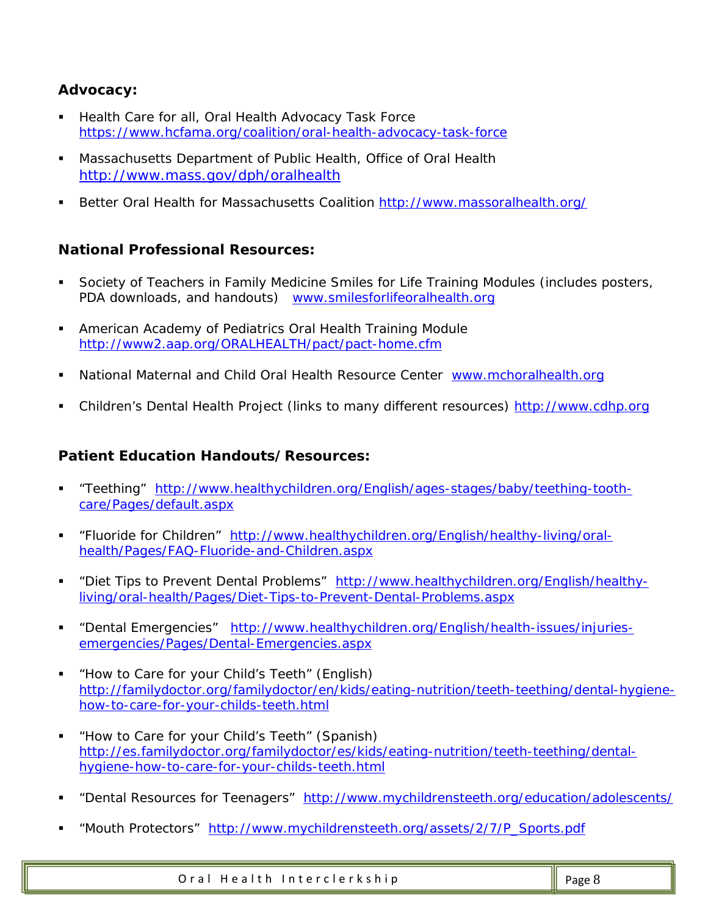#### **Advocacy:**

- Health Care for all, Oral Health Advocacy Task Force <https://www.hcfama.org/coalition/oral-health-advocacy-task-force>
- Massachusetts Department of Public Health, Office of Oral Health <http://www.mass.gov/dph/oralhealth>
- Better Oral Health for Massachusetts Coalition<http://www.massoralhealth.org/>

#### **National Professional Resources:**

- Society of Teachers in Family Medicine Smiles for Life Training Modules (includes posters, PDA downloads, and handouts) [www.smilesforlifeoralhealth.org](http://www.smilesforlifeoralhealth.org/)
- American Academy of Pediatrics Oral Health Training Module <http://www2.aap.org/ORALHEALTH/pact/pact-home.cfm>
- National Maternal and Child Oral Health Resource Center [www.mchoralhealth.org](http://www.mchoralhealth.org/)
- Children's Dental Health Project (links to many different resources) [http://www.cdhp.org](http://www.cdhp.org/)

#### **Patient Education Handouts/Resources:**

- "Teething" [http://www.healthychildren.org/English/ages-stages/baby/teething-tooth](http://www.healthychildren.org/English/ages-stages/baby/teething-tooth-care/Pages/default.aspx)[care/Pages/default.aspx](http://www.healthychildren.org/English/ages-stages/baby/teething-tooth-care/Pages/default.aspx)
- "Fluoride for Children" [http://www.healthychildren.org/English/healthy-living/oral](http://www.healthychildren.org/English/healthy-living/oral-health/Pages/FAQ-Fluoride-and-Children.aspx)[health/Pages/FAQ-Fluoride-and-Children.aspx](http://www.healthychildren.org/English/healthy-living/oral-health/Pages/FAQ-Fluoride-and-Children.aspx)
- " "Diet Tips to Prevent Dental Problems" [http://www.healthychildren.org/English/healthy](http://www.healthychildren.org/English/healthy-living/oral-health/Pages/Diet-Tips-to-Prevent-Dental-Problems.aspx)[living/oral-health/Pages/Diet-Tips-to-Prevent-Dental-Problems.aspx](http://www.healthychildren.org/English/healthy-living/oral-health/Pages/Diet-Tips-to-Prevent-Dental-Problems.aspx)
- " "Dental Emergencies" [http://www.healthychildren.org/English/health-issues/injuries](http://www.healthychildren.org/English/health-issues/injuries-emergencies/Pages/Dental-Emergencies.aspx)[emergencies/Pages/Dental-Emergencies.aspx](http://www.healthychildren.org/English/health-issues/injuries-emergencies/Pages/Dental-Emergencies.aspx)
- "How to Care for your Child's Teeth" (English) [http://familydoctor.org/familydoctor/en/kids/eating-nutrition/teeth-teething/dental-hygiene](http://familydoctor.org/familydoctor/en/kids/eating-nutrition/teeth-teething/dental-hygiene-how-to-care-for-your-childs-teeth.html)[how-to-care-for-your-childs-teeth.html](http://familydoctor.org/familydoctor/en/kids/eating-nutrition/teeth-teething/dental-hygiene-how-to-care-for-your-childs-teeth.html)
- "How to Care for your Child's Teeth" (Spanish) [http://es.familydoctor.org/familydoctor/es/kids/eating-nutrition/teeth-teething/dental](http://es.familydoctor.org/familydoctor/es/kids/eating-nutrition/teeth-teething/dental-hygiene-how-to-care-for-your-childs-teeth.html)[hygiene-how-to-care-for-your-childs-teeth.html](http://es.familydoctor.org/familydoctor/es/kids/eating-nutrition/teeth-teething/dental-hygiene-how-to-care-for-your-childs-teeth.html)
- "Dental Resources for Teenagers" <http://www.mychildrensteeth.org/education/adolescents/>
- "Mouth Protectors" [http://www.mychildrensteeth.org/assets/2/7/P\\_Sports.pdf](http://www.mychildrensteeth.org/assets/2/7/P_Sports.pdf)

Oral Health Interclerkship Page 8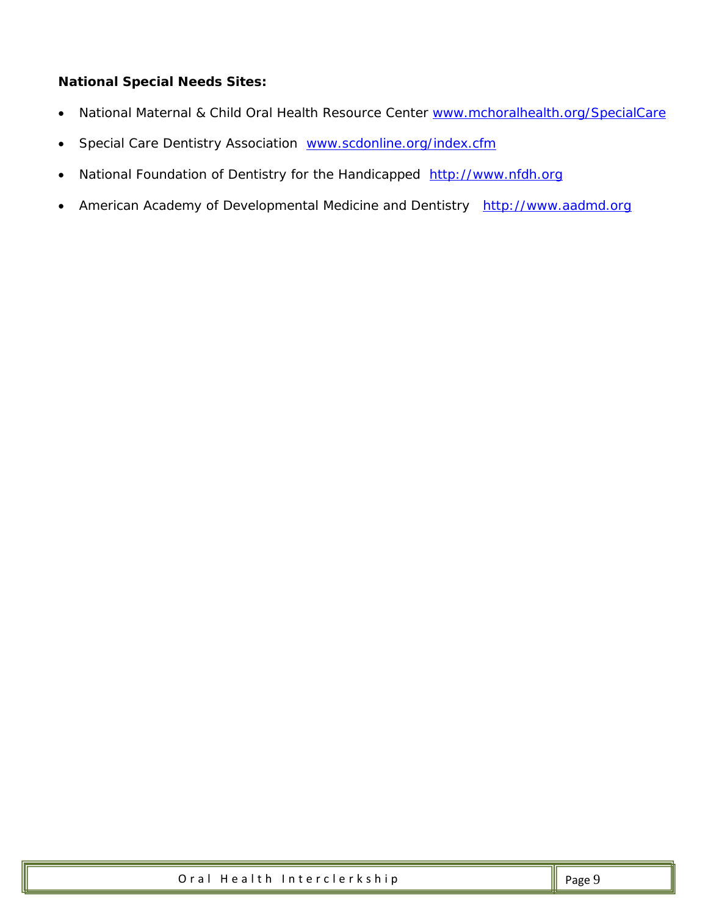#### **National Special Needs Sites:**

- National Maternal & Child Oral Health Resource Center [www.mchoralhealth.org/SpecialCare](http://www.mchoralhealth.org/SpecialCare)
- Special Care Dentistry Association [www.scdonline.org/index.cfm](http://www.scdonline.org/index.cfm)
- National Foundation of Dentistry for the Handicapped [http://www.nfdh.org](http://www.nfdh.org/)
- American Academy of Developmental Medicine and Dentistry [http://www.aadmd.org](http://www.aadmd.org/)

| Oral Health Interclerkship | $\parallel$ Page 9 |
|----------------------------|--------------------|
|----------------------------|--------------------|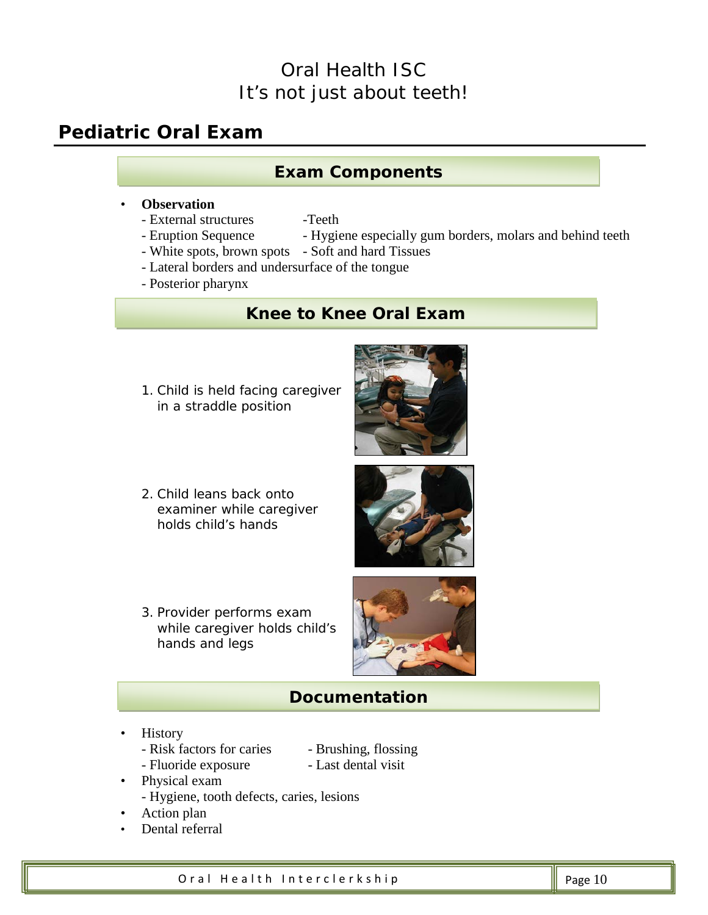## *Pediatric Oral Exam*

#### **Exam Components**

#### • **Observation**

- External structures -Teeth
- Eruption Sequence Hygiene especially gum borders, molars and behind teeth
	-
- White spots, brown spots Soft and hard Tissues
- Lateral borders and undersurface of the tongue
- Posterior pharynx

## **Knee to Knee Oral Exam**

1. Child is held facing caregiver in a straddle position



2. Child leans back onto examiner while caregiver holds child's hands



3. Provider performs exam while caregiver holds child's hands and legs



## **Documentation**

- History
	- Risk factors for caries Brushing, flossing
	- Fluoride exposure Last dental visit
- 
- Physical exam
	- Hygiene, tooth defects, caries, lesions
- Action plan
- Dental referral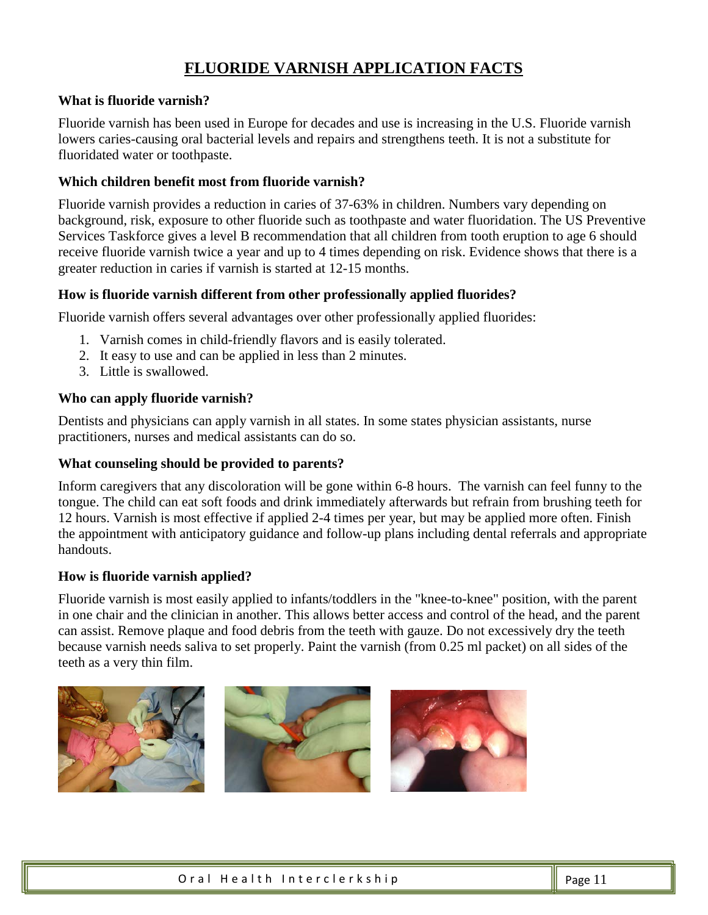#### **FLUORIDE VARNISH APPLICATION FACTS**

#### **What is fluoride varnish?**

Fluoride varnish has been used in Europe for decades and use is increasing in the U.S. Fluoride varnish lowers caries-causing oral bacterial levels and repairs and strengthens teeth. It is not a substitute for fluoridated water or toothpaste.

#### **Which children benefit most from fluoride varnish?**

Fluoride varnish provides a reduction in caries of 37-63% in children. Numbers vary depending on background, risk, exposure to other fluoride such as toothpaste and water fluoridation. The US Preventive Services Taskforce gives a level B recommendation that all children from tooth eruption to age 6 should receive fluoride varnish twice a year and up to 4 times depending on risk. Evidence shows that there is a greater reduction in caries if varnish is started at 12-15 months.

#### **How is fluoride varnish different from other professionally applied fluorides?**

Fluoride varnish offers several advantages over other professionally applied fluorides:

- 1. Varnish comes in child-friendly flavors and is easily tolerated.
- 2. It easy to use and can be applied in less than 2 minutes.
- 3. Little is swallowed.

#### **Who can apply fluoride varnish?**

Dentists and physicians can apply varnish in all states. In some states physician assistants, nurse practitioners, nurses and medical assistants can do so.

#### **What counseling should be provided to parents?**

Inform caregivers that any discoloration will be gone within 6-8 hours. The varnish can feel funny to the tongue. The child can eat soft foods and drink immediately afterwards but refrain from brushing teeth for 12 hours. Varnish is most effective if applied 2-4 times per year, but may be applied more often. Finish the appointment with anticipatory guidance and follow-up plans including dental referrals and appropriate handouts.

#### **How is fluoride varnish applied?**

Fluoride varnish is most easily applied to infants/toddlers in the "knee-to-knee" position, with the parent in one chair and the clinician in another. This allows better access and control of the head, and the parent can assist. Remove plaque and food debris from the teeth with gauze. Do not excessively dry the teeth because varnish needs saliva to set properly. Paint the varnish (from 0.25 ml packet) on all sides of the teeth as a very thin film.

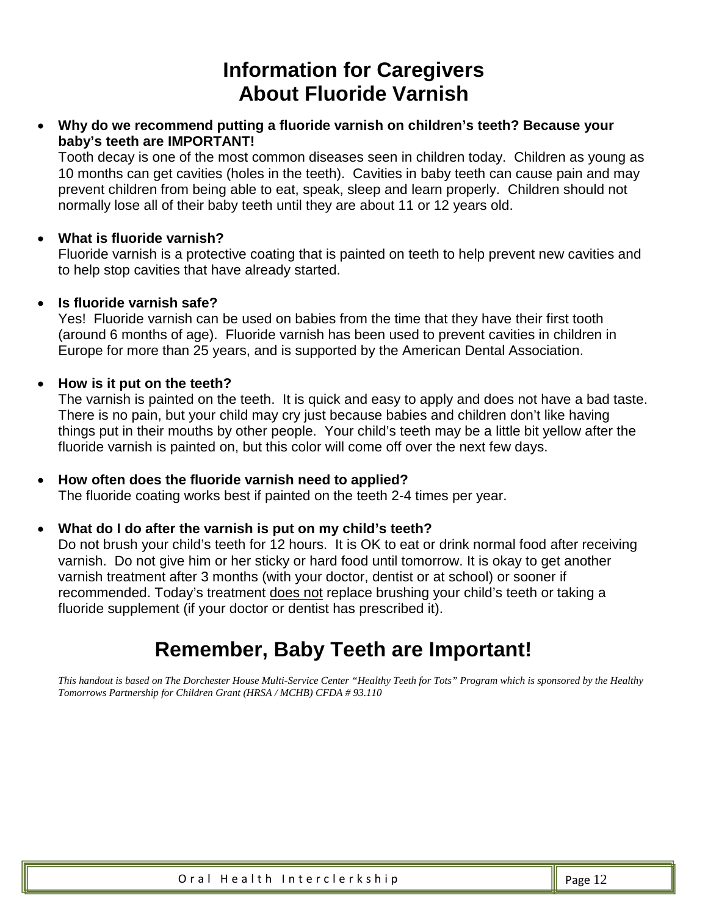## **Information for Caregivers About Fluoride Varnish**

• **Why do we recommend putting a fluoride varnish on children's teeth? Because your baby's teeth are IMPORTANT!**

Tooth decay is one of the most common diseases seen in children today. Children as young as 10 months can get cavities (holes in the teeth). Cavities in baby teeth can cause pain and may prevent children from being able to eat, speak, sleep and learn properly. Children should not normally lose all of their baby teeth until they are about 11 or 12 years old.

#### • **What is fluoride varnish?**

Fluoride varnish is a protective coating that is painted on teeth to help prevent new cavities and to help stop cavities that have already started.

#### • **Is fluoride varnish safe?**

Yes! Fluoride varnish can be used on babies from the time that they have their first tooth (around 6 months of age). Fluoride varnish has been used to prevent cavities in children in Europe for more than 25 years, and is supported by the American Dental Association.

#### • **How is it put on the teeth?**

The varnish is painted on the teeth. It is quick and easy to apply and does not have a bad taste. There is no pain, but your child may cry just because babies and children don't like having things put in their mouths by other people. Your child's teeth may be a little bit yellow after the fluoride varnish is painted on, but this color will come off over the next few days.

• **How often does the fluoride varnish need to applied?** The fluoride coating works best if painted on the teeth 2-4 times per year.

#### • **What do I do after the varnish is put on my child's teeth?**

Do not brush your child's teeth for 12 hours. It is OK to eat or drink normal food after receiving varnish. Do not give him or her sticky or hard food until tomorrow. It is okay to get another varnish treatment after 3 months (with your doctor, dentist or at school) or sooner if recommended. Today's treatment does not replace brushing your child's teeth or taking a fluoride supplement (if your doctor or dentist has prescribed it).

## **Remember, Baby Teeth are Important!**

*This handout is based on The Dorchester House Multi-Service Center "Healthy Teeth for Tots" Program which is sponsored by the Healthy Tomorrows Partnership for Children Grant (HRSA / MCHB) CFDA # 93.110*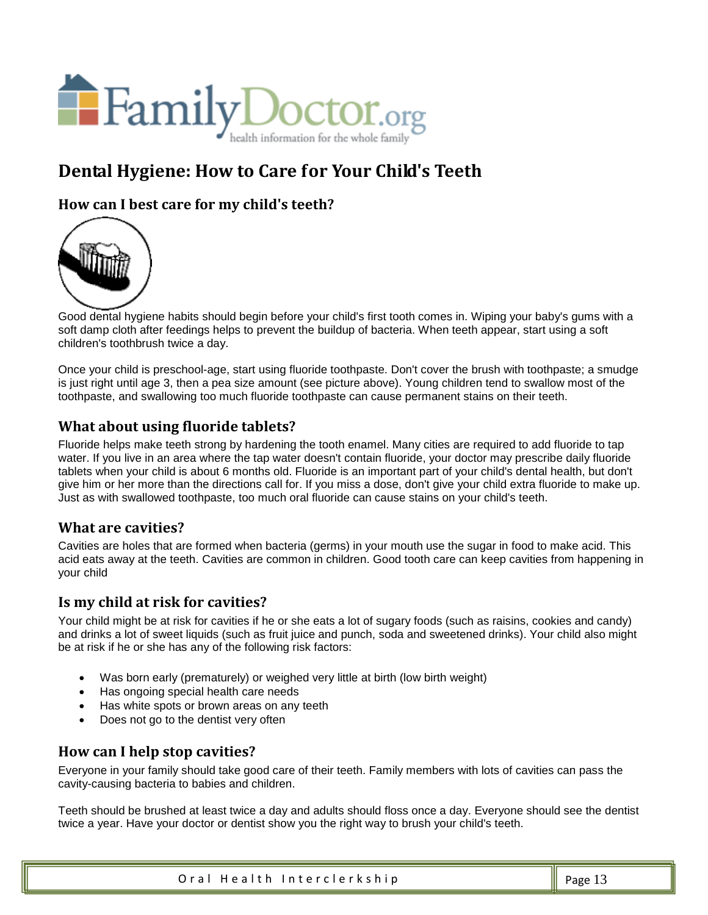

## **Dental Hygiene: How to Care for Your Child's Teeth**

**How can I best care for my child's teeth?**



Good dental hygiene habits should begin before your child's first tooth comes in. Wiping your baby's gums with a soft damp cloth after feedings helps to prevent the buildup of bacteria. When teeth appear, start using a soft children's toothbrush twice a day.

Once your child is preschool-age, start using fluoride toothpaste. Don't cover the brush with toothpaste; a smudge is just right until age 3, then a pea size amount (see picture above). Young children tend to swallow most of the toothpaste, and swallowing too much fluoride toothpaste can cause permanent stains on their teeth.

#### **What about using fluoride tablets?**

Fluoride helps make teeth strong by hardening the tooth enamel. Many cities are required to add fluoride to tap water. If you live in an area where the tap water doesn't contain fluoride, your doctor may prescribe daily fluoride tablets when your child is about 6 months old. Fluoride is an important part of your child's dental health, but don't give him or her more than the directions call for. If you miss a dose, don't give your child extra fluoride to make up. Just as with swallowed toothpaste, too much oral fluoride can cause stains on your child's teeth.

#### **What are cavities?**

Cavities are holes that are formed when bacteria (germs) in your mouth use the sugar in food to make acid. This acid eats away at the teeth. Cavities are common in children. Good tooth care can keep cavities from happening in your child

#### **Is my child at risk for cavities?**

Your child might be at risk for cavities if he or she eats a lot of sugary foods (such as raisins, cookies and candy) and drinks a lot of sweet liquids (such as fruit juice and punch, soda and sweetened drinks). Your child also might be at risk if he or she has any of the following risk factors:

- Was born early (prematurely) or weighed very little at birth (low birth weight)
- Has ongoing special health care needs
- Has white spots or brown areas on any teeth
- Does not go to the dentist very often

#### **How can I help stop cavities?**

Everyone in your family should take good care of their teeth. Family members with lots of cavities can pass the cavity-causing bacteria to babies and children.

Teeth should be brushed at least twice a day and adults should floss once a day. Everyone should see the dentist twice a year. Have your doctor or dentist show you the right way to brush your child's teeth.

Oral Health Interclerkship Page 13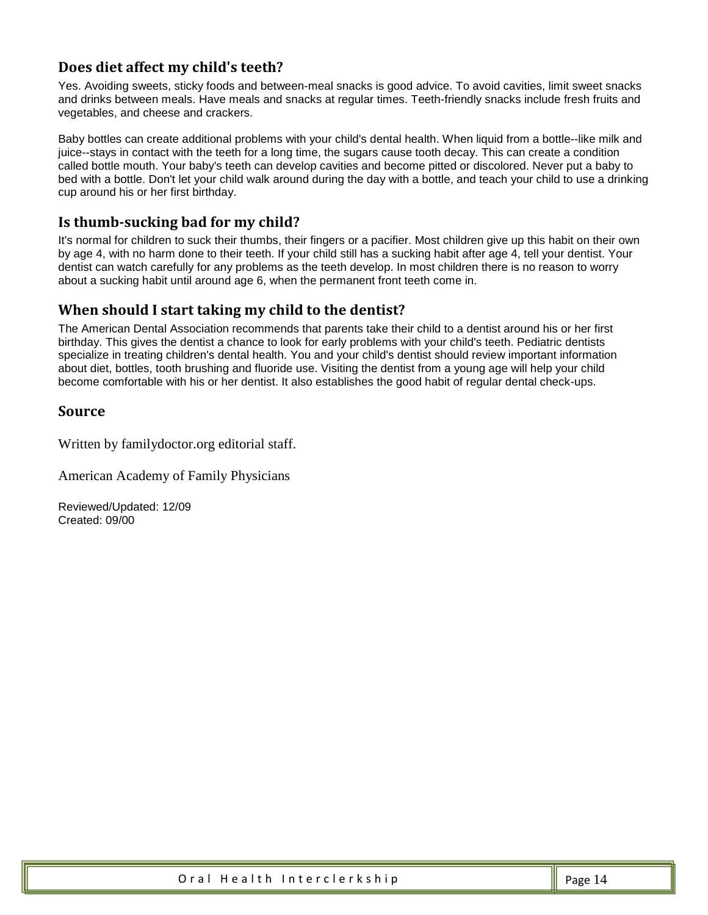#### **Does diet affect my child's teeth?**

Yes. Avoiding sweets, sticky foods and between-meal snacks is good advice. To avoid cavities, limit sweet snacks and drinks between meals. Have meals and snacks at regular times. Teeth-friendly snacks include fresh fruits and vegetables, and cheese and crackers.

Baby bottles can create additional problems with your child's dental health. When liquid from a bottle--like milk and juice--stays in contact with the teeth for a long time, the sugars cause tooth decay. This can create a condition called bottle mouth. Your baby's teeth can develop cavities and become pitted or discolored. Never put a baby to bed with a bottle. Don't let your child walk around during the day with a bottle, and teach your child to use a drinking cup around his or her first birthday.

#### **Is thumb-sucking bad for my child?**

It's normal for children to suck their thumbs, their fingers or a pacifier. Most children give up this habit on their own by age 4, with no harm done to their teeth. If your child still has a sucking habit after age 4, tell your dentist. Your dentist can watch carefully for any problems as the teeth develop. In most children there is no reason to worry about a sucking habit until around age 6, when the permanent front teeth come in.

#### **When should I start taking my child to the dentist?**

The American Dental Association recommends that parents take their child to a dentist around his or her first birthday. This gives the dentist a chance to look for early problems with your child's teeth. Pediatric dentists specialize in treating children's dental health. You and your child's dentist should review important information about diet, bottles, tooth brushing and fluoride use. Visiting the dentist from a young age will help your child become comfortable with his or her dentist. It also establishes the good habit of regular dental check-ups.

#### **Source**

[Written by familydoctor.org editorial staff.](http://familydoctor.org/webteam)

American Academy of Family Physicians

Reviewed/Updated: 12/09 Created: 09/00